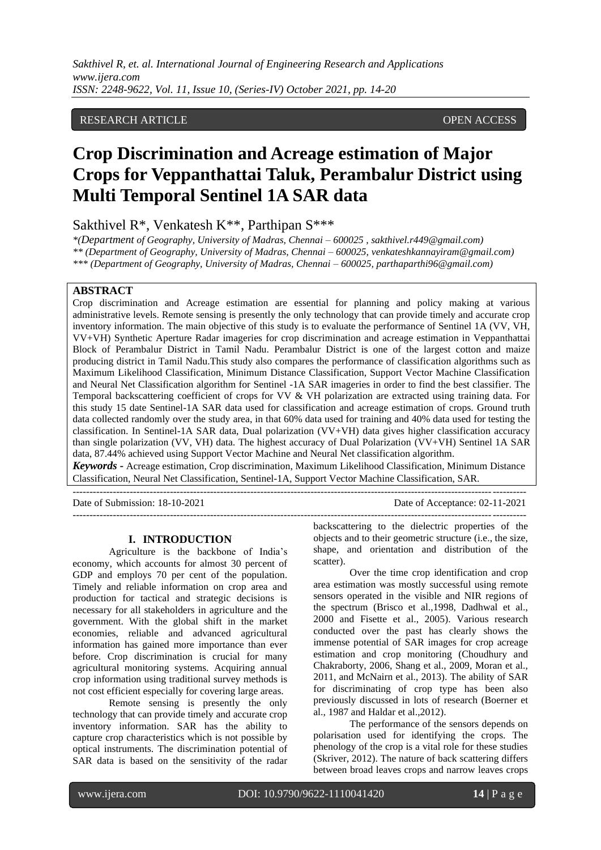*Sakthivel R, et. al. International Journal of Engineering Research and Applications www.ijera.com ISSN: 2248-9622, Vol. 11, Issue 10, (Series-IV) October 2021, pp. 14-20*

## RESEARCH ARTICLE **CONSERVERS** OPEN ACCESS

# **Crop Discrimination and Acreage estimation of Major Crops for Veppanthattai Taluk, Perambalur District using Multi Temporal Sentinel 1A SAR data**

Sakthivel R\*, Venkatesh K\*\*, Parthipan S\*\*\*

*\*(Department of Geography, University of Madras, Chennai – 600025 , sakthivel.r449@gmail.com) \*\* (Department of Geography, University of Madras, Chennai – 600025, venkateshkannayiram@gmail.com) \*\*\* (Department of Geography, University of Madras, Chennai – 600025, parthaparthi96@gmail.com)*

#### **ABSTRACT**

Crop discrimination and Acreage estimation are essential for planning and policy making at various administrative levels. Remote sensing is presently the only technology that can provide timely and accurate crop inventory information. The main objective of this study is to evaluate the performance of Sentinel 1A (VV, VH, VV+VH) Synthetic Aperture Radar imageries for crop discrimination and acreage estimation in Veppanthattai Block of Perambalur District in Tamil Nadu. Perambalur District is one of the largest cotton and maize producing district in Tamil Nadu.This study also compares the performance of classification algorithms such as Maximum Likelihood Classification, Minimum Distance Classification, Support Vector Machine Classification and Neural Net Classification algorithm for Sentinel -1A SAR imageries in order to find the best classifier. The Temporal backscattering coefficient of crops for VV & VH polarization are extracted using training data. For this study 15 date Sentinel-1A SAR data used for classification and acreage estimation of crops. Ground truth data collected randomly over the study area, in that 60% data used for training and 40% data used for testing the classification. In Sentinel-1A SAR data, Dual polarization (VV+VH) data gives higher classification accuracy than single polarization (VV, VH) data. The highest accuracy of Dual Polarization (VV+VH) Sentinel 1A SAR data, 87.44% achieved using Support Vector Machine and Neural Net classification algorithm.

*Keywords* **-** Acreage estimation, Crop discrimination, Maximum Likelihood Classification, Minimum Distance Classification, Neural Net Classification, Sentinel-1A, Support Vector Machine Classification, SAR. ---------------------------------------------------------------------------------------------------------------------------------------

---------------------------------------------------------------------------------------------------------------------------------------

Date of Submission: 18-10-2021 Date of Acceptance: 02-11-2021

#### **I. INTRODUCTION**

Agriculture is the backbone of India's economy, which accounts for almost 30 percent of GDP and employs 70 per cent of the population. Timely and reliable information on crop area and production for tactical and strategic decisions is necessary for all stakeholders in agriculture and the government. With the global shift in the market economies, reliable and advanced agricultural information has gained more importance than ever before. Crop discrimination is crucial for many agricultural monitoring systems. Acquiring annual crop information using traditional survey methods is not cost efficient especially for covering large areas.

Remote sensing is presently the only technology that can provide timely and accurate crop inventory information. SAR has the ability to capture crop characteristics which is not possible by optical instruments. The discrimination potential of SAR data is based on the sensitivity of the radar backscattering to the dielectric properties of the objects and to their geometric structure (i.e., the size, shape, and orientation and distribution of the scatter).

Over the time crop identification and crop area estimation was mostly successful using remote sensors operated in the visible and NIR regions of the spectrum (Brisco et al.,1998, Dadhwal et al., 2000 and Fisette et al., 2005). Various research conducted over the past has clearly shows the immense potential of SAR images for crop acreage estimation and crop monitoring (Choudhury and Chakraborty, 2006, Shang et al., 2009, Moran et al., 2011, and McNairn et al., 2013). The ability of SAR for discriminating of crop type has been also previously discussed in lots of research (Boerner et al., 1987 and Haldar et al.,2012).

The performance of the sensors depends on polarisation used for identifying the crops. The phenology of the crop is a vital role for these studies (Skriver, 2012). The nature of back scattering differs between broad leaves crops and narrow leaves crops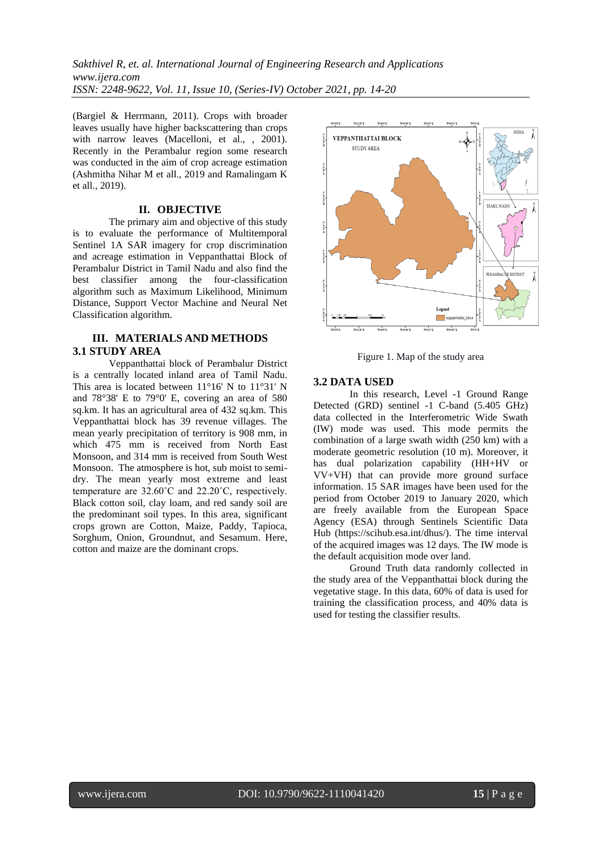*Sakthivel R, et. al. International Journal of Engineering Research and Applications www.ijera.com ISSN: 2248-9622, Vol. 11, Issue 10, (Series-IV) October 2021, pp. 14-20*

(Bargiel & Herrmann, 2011). Crops with broader leaves usually have higher backscattering than crops with narrow leaves (Macelloni, et al., , 2001). Recently in the Perambalur region some research was conducted in the aim of crop acreage estimation (Ashmitha Nihar M et all., 2019 and Ramalingam K et all., 2019).

## **II. OBJECTIVE**

The primary aim and objective of this study is to evaluate the performance of Multitemporal Sentinel 1A SAR imagery for crop discrimination and acreage estimation in Veppanthattai Block of Perambalur District in Tamil Nadu and also find the best classifier among the four-classification algorithm such as Maximum Likelihood, Minimum Distance, Support Vector Machine and Neural Net Classification algorithm.

## **III. MATERIALS AND METHODS 3.1 STUDY AREA**

Veppanthattai block of Perambalur District is a centrally located inland area of Tamil Nadu. This area is located between 11°16' N to 11°31' N and 78°38' E to 79°0' E, covering an area of 580 sq.km. It has an agricultural area of 432 sq.km. This Veppanthattai block has 39 revenue villages. The mean yearly precipitation of territory is 908 mm, in which 475 mm is received from North East Monsoon, and 314 mm is received from South West Monsoon. The atmosphere is hot, sub moist to semidry. The mean yearly most extreme and least temperature are 32.60˚C and 22.20˚C, respectively. Black cotton soil, clay loam, and red sandy soil are the predominant soil types. In this area, significant crops grown are Cotton, Maize, Paddy, Tapioca, Sorghum, Onion, Groundnut, and Sesamum. Here, cotton and maize are the dominant crops.



Figure 1. Map of the study area

#### **3.2 DATA USED**

In this research, Level -1 Ground Range Detected (GRD) sentinel -1 C-band (5.405 GHz) data collected in the Interferometric Wide Swath (IW) mode was used. This mode permits the combination of a large swath width (250 km) with a moderate geometric resolution (10 m). Moreover, it has dual polarization capability (HH+HV or VV+VH) that can provide more ground surface information. 15 SAR images have been used for the period from October 2019 to January 2020, which are freely available from the European Space Agency (ESA) through Sentinels Scientific Data Hub (https://scihub.esa.int/dhus/). The time interval of the acquired images was 12 days. The IW mode is the default acquisition mode over land.

Ground Truth data randomly collected in the study area of the Veppanthattai block during the vegetative stage. In this data, 60% of data is used for training the classification process, and 40% data is used for testing the classifier results.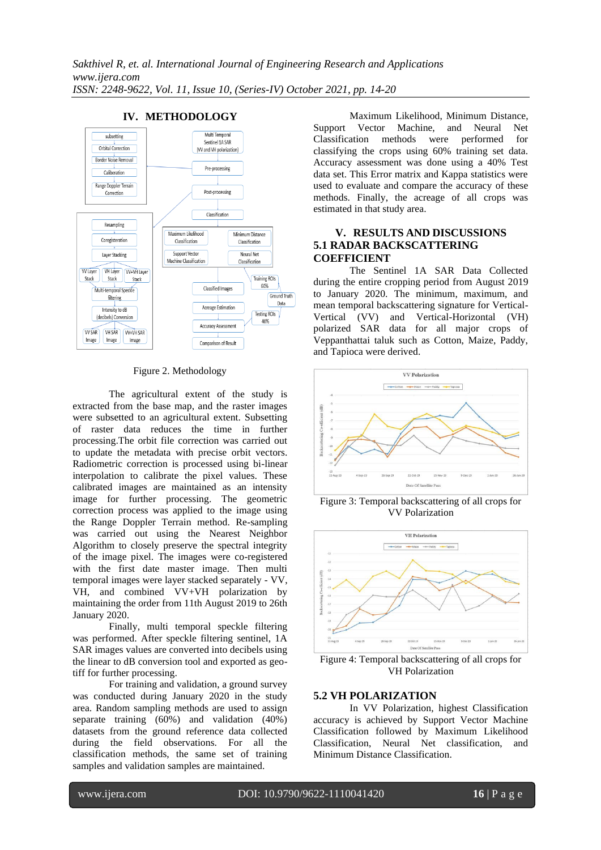

# **IV. METHODOLOGY**

#### Figure 2. Methodology

The agricultural extent of the study is extracted from the base map, and the raster images were subsetted to an agricultural extent. Subsetting of raster data reduces the time in further processing.The orbit file correction was carried out to update the metadata with precise orbit vectors. Radiometric correction is processed using bi-linear interpolation to calibrate the pixel values. These calibrated images are maintained as an intensity image for further processing. The geometric correction process was applied to the image using the Range Doppler Terrain method. Re-sampling was carried out using the Nearest Neighbor Algorithm to closely preserve the spectral integrity of the image pixel. The images were co-registered with the first date master image. Then multi temporal images were layer stacked separately - VV, VH, and combined VV+VH polarization by maintaining the order from 11th August 2019 to 26th January 2020.

Finally, multi temporal speckle filtering was performed. After speckle filtering sentinel, 1A SAR images values are converted into decibels using the linear to dB conversion tool and exported as geotiff for further processing.

For training and validation, a ground survey was conducted during January 2020 in the study area. Random sampling methods are used to assign separate training (60%) and validation (40%) datasets from the ground reference data collected during the field observations. For all the classification methods, the same set of training samples and validation samples are maintained.

Maximum Likelihood, Minimum Distance,<br>Vector Machine, and Neural Net Support Vector Machine, and Neural Net Classification methods were performed for classifying the crops using 60% training set data. Accuracy assessment was done using a 40% Test data set. This Error matrix and Kappa statistics were used to evaluate and compare the accuracy of these methods. Finally, the acreage of all crops was estimated in that study area.

## **V. RESULTS AND DISCUSSIONS 5.1 RADAR BACKSCATTERING COEFFICIENT**

The Sentinel 1A SAR Data Collected during the entire cropping period from August 2019 to January 2020. The minimum, maximum, and mean temporal backscattering signature for Vertical-Vertical (VV) and Vertical-Horizontal (VH) polarized SAR data for all major crops of Veppanthattai taluk such as Cotton, Maize, Paddy, and Tapioca were derived.



Figure 3: Temporal backscattering of all crops for VV Polarization



Figure 4: Temporal backscattering of all crops for VH Polarization

#### **5.2 VH POLARIZATION**

In VV Polarization, highest Classification accuracy is achieved by Support Vector Machine Classification followed by Maximum Likelihood Classification, Neural Net classification, and Minimum Distance Classification.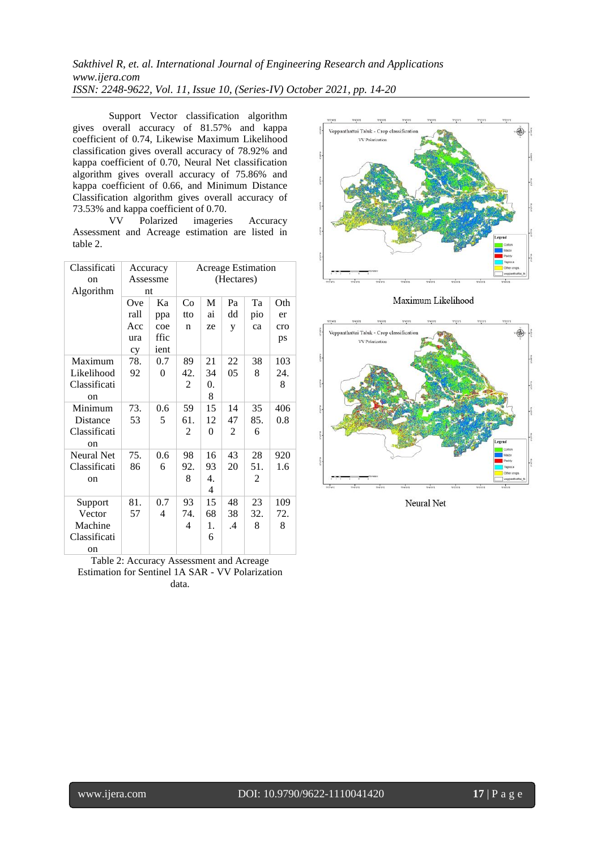# *Sakthivel R, et. al. International Journal of Engineering Research and Applications www.ijera.com ISSN: 2248-9622, Vol. 11, Issue 10, (Series-IV) October 2021, pp. 14-20*

Support Vector classification algorithm gives overall accuracy of 81.57% and kappa coefficient of 0.74, Likewise Maximum Likelihood classification gives overall accuracy of 78.92% and kappa coefficient of 0.70, Neural Net classification algorithm gives overall accuracy of 75.86% and kappa coefficient of 0.66, and Minimum Distance Classification algorithm gives overall accuracy of 73.53% and kappa coefficient of 0.70.<br>VV Polarized imagerie

Polarized imageries Accuracy Assessment and Acreage estimation are listed in table 2.

| Classificati      | Accuracy |          | <b>Acreage Estimation</b> |          |    |     |         |
|-------------------|----------|----------|---------------------------|----------|----|-----|---------|
| on                | Assessme |          | (Hectares)                |          |    |     |         |
| Algorithm         | nt       |          |                           |          |    |     |         |
|                   | Ove      | Ka       | Co                        | M        | Pa | Ta  | Oth     |
|                   | rall     | ppa      | tto                       | ai       | dd | pio | er      |
|                   | Acc      | coe      | n                         | ze       | y  | ca  | cro     |
|                   | ura      | ffic     |                           |          |    |     | ps      |
|                   | cy       | ient     |                           |          |    |     |         |
| Maximum           | 78.      | 0.7      | 89                        | 21       | 22 | 38  | 103     |
| Likelihood        | 92       | $\theta$ | 42.                       | 34       | 05 | 8   | 24.     |
| Classificati      |          |          | $\overline{2}$            | 0.       |    |     | 8       |
| on                |          |          |                           | 8        |    |     |         |
| Minimum           | 73.      | 0.6      | 59                        | 15       | 14 | 35  | 406     |
| Distance          | 53       | 5        | 61.                       | 12       | 47 | 85. | $0.8\,$ |
| Classificati      |          |          | 2                         | $\theta$ | 2  | 6   |         |
| on                |          |          |                           |          |    |     |         |
| <b>Neural Net</b> | 75.      | 0.6      | 98                        | 16       | 43 | 28  | 920     |
| Classificati      | 86       | 6        | 92.                       | 93       | 20 | 51. | 1.6     |
| on                |          |          | 8                         | 4.       |    | 2   |         |
|                   |          |          |                           | 4        |    |     |         |
| Support           | 81.      | 0.7      | 93                        | 15       | 48 | 23  | 109     |
| Vector            | 57       | 4        | 74.                       | 68       | 38 | 32. | 72.     |
| Machine           |          |          | 4                         | 1.       | .4 | 8   | 8       |
| Classificati      |          |          |                           | 6        |    |     |         |
| on                |          |          |                           |          |    |     |         |

Table 2: Accuracy Assessment and Acreage Estimation for Sentinel 1A SAR - VV Polarization data.



Maximum Likelihood



Neural Net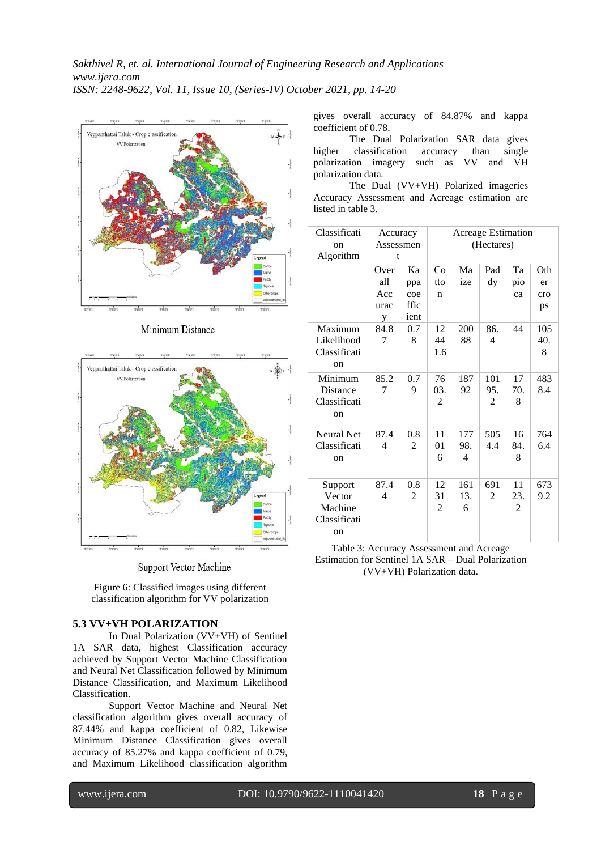

Minimum Distance



Support Vector Machine

Figure 6: Classified images using different classification algorithm for VV polarization

# **5.3 VV+VH POLARIZATION**

In Dual Polarization (VV+VH) of Sentinel 1A SAR data, highest Classification accuracy achieved by Support Vector Machine Classification and Neural Net Classification followed by Minimum Distance Classification, and Maximum Likelihood Classification.

Support Vector Machine and Neural Net classification algorithm gives overall accuracy of 87.44% and kappa coefficient of 0.82, Likewise Minimum Distance Classification gives overall accuracy of 85.27% and kappa coefficient of 0.79, and Maximum Likelihood classification algorithm

gives overall accuracy of 84.87% and kappa coefficient of 0.78.

The Dual Polarization SAR data gives higher classification accuracy than single polarization imagery such as VV and VH polarization data.

The Dual (VV+VH) Polarized imageries Accuracy Assessment and Acreage estimation are listed in table 3.

| Classificati<br><sub>on</sub><br>Algorithm | Accuracy<br>Assessmen<br>t |      | <b>Acreage Estimation</b><br>(Hectares) |          |     |                |     |
|--------------------------------------------|----------------------------|------|-----------------------------------------|----------|-----|----------------|-----|
|                                            | Over                       | Ka   | Co                                      | Ma       | Pad | Ta             | Oth |
|                                            | all                        | ppa  | tto                                     | ize      | dy  | pio            | er  |
|                                            | Acc                        | coe  | n                                       |          |     | ca             | cro |
|                                            | urac                       | ffic |                                         |          |     |                | ps  |
|                                            | y                          | ient |                                         |          |     |                |     |
| Maximum                                    | 84.8                       | 0.7  | 12                                      | 200      | 86. | 44             | 105 |
| Likelihood                                 | 7                          | 8    | 44                                      | 88       | 4   |                | 40. |
| Classificati                               |                            |      | 1.6                                     |          |     |                | 8   |
| on                                         |                            |      |                                         |          |     |                |     |
| Minimum                                    | 85.2                       | 0.7  | 76                                      | 187      | 101 | 17             | 483 |
| Distance                                   | 7                          | 9    | 03.                                     | 92       | 95. | 70.            | 8.4 |
| Classificati                               |                            |      | 2                                       |          | 2   | 8              |     |
| <sub>on</sub>                              |                            |      |                                         |          |     |                |     |
|                                            |                            |      |                                         |          |     |                |     |
| <b>Neural Net</b>                          | 87.4                       | 0.8  | 11                                      | 177      | 505 | 16             | 764 |
| Classificati                               | $\overline{4}$             | 2    | 01<br>6                                 | 98.<br>4 | 4.4 | 84.<br>8       | 6.4 |
| <sub>on</sub>                              |                            |      |                                         |          |     |                |     |
|                                            |                            |      |                                         |          |     |                |     |
| Support                                    | 87.4                       | 0.8  | 12                                      | 161      | 691 | 11             | 673 |
| Vector                                     | 4                          | 2    | 31                                      | 13.      | 2   | 23.            | 9.2 |
| Machine                                    |                            |      | 2                                       | 6        |     | $\overline{2}$ |     |
| Classificati                               |                            |      |                                         |          |     |                |     |
| <sub>on</sub>                              |                            |      |                                         |          |     |                |     |

Table 3: Accuracy Assessment and Acreage Estimation for Sentinel 1A SAR – Dual Polarization (VV+VH) Polarization data.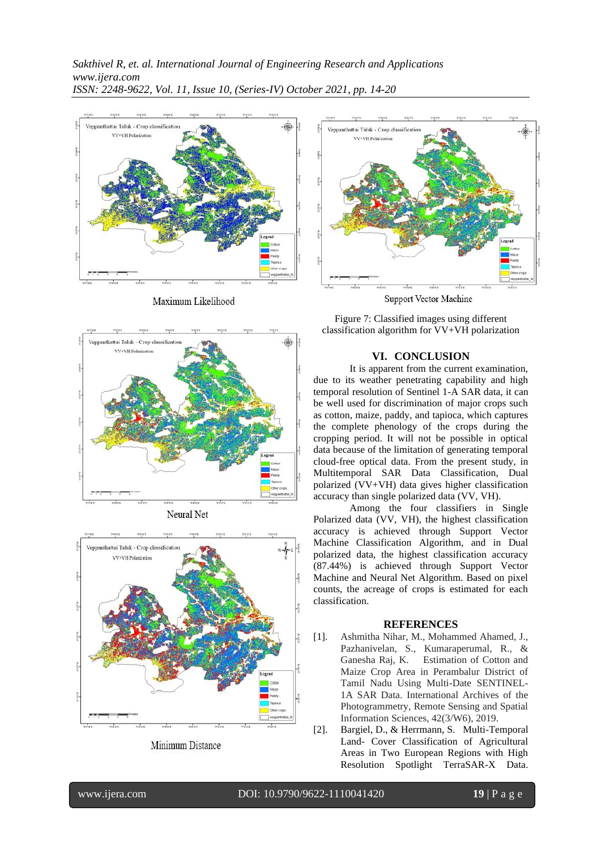

Maximum Likelihood





Minimum Distance



Figure 7: Classified images using different classification algorithm for VV+VH polarization

## **VI. CONCLUSION**

It is apparent from the current examination, due to its weather penetrating capability and high temporal resolution of Sentinel 1-A SAR data, it can be well used for discrimination of major crops such as cotton, maize, paddy, and tapioca, which captures the complete phenology of the crops during the cropping period. It will not be possible in optical data because of the limitation of generating temporal cloud-free optical data. From the present study, in Multitemporal SAR Data Classification, Dual polarized (VV+VH) data gives higher classification accuracy than single polarized data (VV, VH).

Among the four classifiers in Single Polarized data (VV, VH), the highest classification accuracy is achieved through Support Vector Machine Classification Algorithm, and in Dual polarized data, the highest classification accuracy (87.44%) is achieved through Support Vector Machine and Neural Net Algorithm. Based on pixel counts, the acreage of crops is estimated for each classification.

#### **REFERENCES**

- [1]. Ashmitha Nihar, M., Mohammed Ahamed, J., Pazhanivelan, S., Kumaraperumal, R., & Ganesha Raj, K. Estimation of Cotton and Maize Crop Area in Perambalur District of Tamil Nadu Using Multi-Date SENTINEL-1A SAR Data. International Archives of the Photogrammetry, Remote Sensing and Spatial Information Sciences, 42(3/W6), 2019.
- [2]. Bargiel, D., & Herrmann, S. Multi-Temporal Land- Cover Classification of Agricultural Areas in Two European Regions with High Resolution Spotlight TerraSAR-X Data.